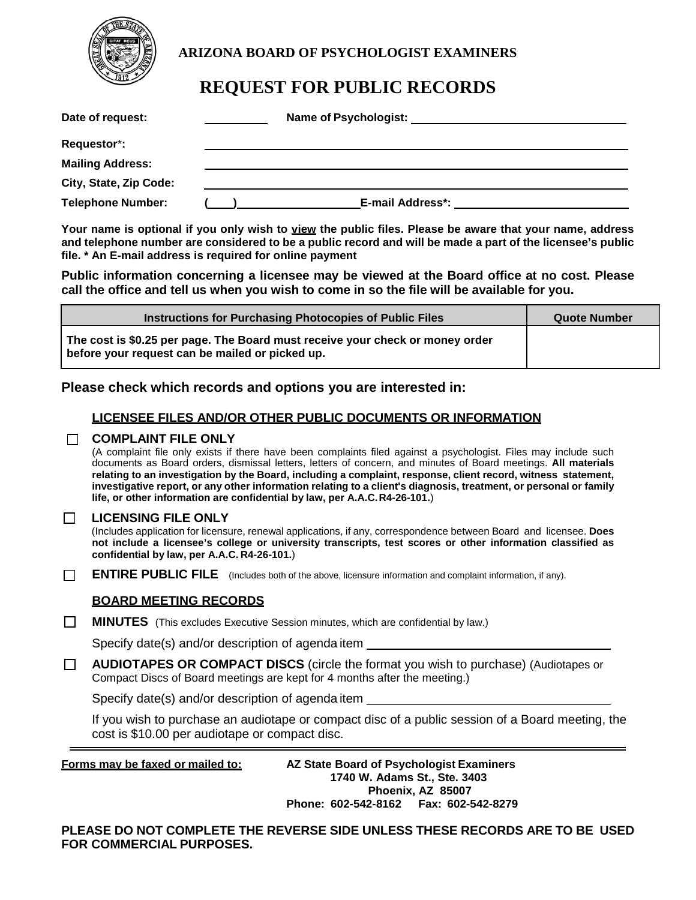

# **ARIZONA BOARD OF PSYCHOLOGIST EXAMINERS**

# **REQUEST FOR PUBLIC RECORDS**

| Date of request:         | Name of Psychologist:   |
|--------------------------|-------------------------|
| Requestor*:              |                         |
| <b>Mailing Address:</b>  |                         |
| City, State, Zip Code:   |                         |
| <b>Telephone Number:</b> | <b>E-mail Address*:</b> |

Your name is optional if you only wish to view the public files. Please be aware that your name, address **and telephone number are considered to be a public record and will be made a part of the licensee's public file. \* An E-mail address is required for online payment**

**Public information concerning a licensee may be viewed at the Board office at no cost. Please call the office and tell us when you wish to come in so the file will be available for you.**

| <b>Instructions for Purchasing Photocopies of Public Files</b>                                                                   | <b>Quote Number</b> |
|----------------------------------------------------------------------------------------------------------------------------------|---------------------|
| The cost is \$0.25 per page. The Board must receive your check or money order<br>before your request can be mailed or picked up. |                     |

# **Please check which records and options you are interested in:**

# **LICENSEE FILES AND/OR OTHER PUBLIC DOCUMENTS OR INFORMATION**

## **COMPLAINT FILE ONLY**

(A complaint file only exists if there have been complaints filed against a psychologist. Files may include such documents as Board orders, dismissal letters, letters of concern, and minutes of Board meetings. **All materials relating to an investigation by the Board, including a complaint, response, client record, witness statement, investigative report, or any other information relating to a client's diagnosis, treatment, or personal or family life, or other information are confidential by law, per A.A.C.R4-26-101.**)

#### $\Box$ **LICENSING FILE ONLY**

(Includes application for licensure, renewal applications, if any, correspondence between Board and licensee. **Does not include a licensee's college or university transcripts, test scores or other information classified as confidential by law, per A.A.C. R4-26-101.**)

 $\Box$ **ENTIRE PUBLIC FILE** (Includes both of the above, licensure information and complaint information, if any).

# **BOARD MEETING RECORDS**

 $\Box$ **MINUTES** (This excludes Executive Session minutes, which are confidential by law.)

Specify date(s) and/or description of agenda item

 $\Box$ **AUDIOTAPES OR COMPACT DISCS** (circle the format you wish to purchase) (Audiotapes or Compact Discs of Board meetings are kept for 4 months after the meeting.)

Specify date(s) and/or description of agenda item

If you wish to purchase an audiotape or compact disc of a public session of a Board meeting, the cost is \$10.00 per audiotape or compact disc.

**Forms may be faxed or mailed to: AZ State Board of Psychologist Examiners 1740 W. Adams St., Ste. 3403 Phoenix, AZ 85007 Phone: 602-542-8162 Fax: 602-542-8279**

**PLEASE DO NOT COMPLETE THE REVERSE SIDE UNLESS THESE RECORDS ARE TO BE USED FOR COMMERCIAL PURPOSES.**